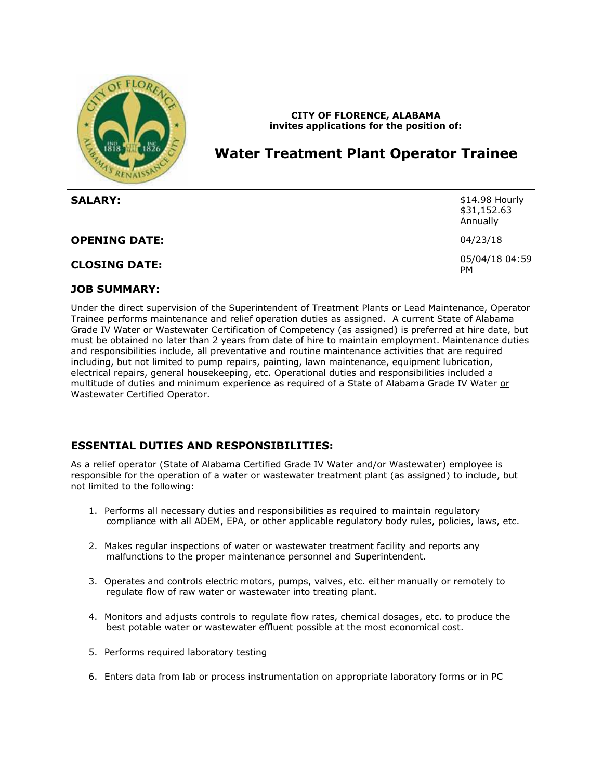

## **CITY OF FLORENCE, ALABAMA invites applications for the position of:**

# **Water Treatment Plant Operator Trainee**

| <b>SALARY:</b>       | \$14.98 Hourly<br>\$31,152.63<br>Annually |
|----------------------|-------------------------------------------|
| <b>OPENING DATE:</b> | 04/23/18                                  |
| <b>CLOSING DATE:</b> | 05/04/18 04:59<br><b>PM</b>               |

## **JOB SUMMARY:**

Under the direct supervision of the Superintendent of Treatment Plants or Lead Maintenance, Operator Trainee performs maintenance and relief operation duties as assigned. A current State of Alabama Grade IV Water or Wastewater Certification of Competency (as assigned) is preferred at hire date, but must be obtained no later than 2 years from date of hire to maintain employment. Maintenance duties and responsibilities include, all preventative and routine maintenance activities that are required including, but not limited to pump repairs, painting, lawn maintenance, equipment lubrication, electrical repairs, general housekeeping, etc. Operational duties and responsibilities included a multitude of duties and minimum experience as required of a State of Alabama Grade IV Water or Wastewater Certified Operator.

## **ESSENTIAL DUTIES AND RESPONSIBILITIES:**

As a relief operator (State of Alabama Certified Grade IV Water and/or Wastewater) employee is responsible for the operation of a water or wastewater treatment plant (as assigned) to include, but not limited to the following:

- 1. Performs all necessary duties and responsibilities as required to maintain regulatory compliance with all ADEM, EPA, or other applicable regulatory body rules, policies, laws, etc.
- 2. Makes regular inspections of water or wastewater treatment facility and reports any malfunctions to the proper maintenance personnel and Superintendent.
- 3. Operates and controls electric motors, pumps, valves, etc. either manually or remotely to regulate flow of raw water or wastewater into treating plant.
- 4. Monitors and adjusts controls to regulate flow rates, chemical dosages, etc. to produce the best potable water or wastewater effluent possible at the most economical cost.
- 5. Performs required laboratory testing
- 6. Enters data from lab or process instrumentation on appropriate laboratory forms or in PC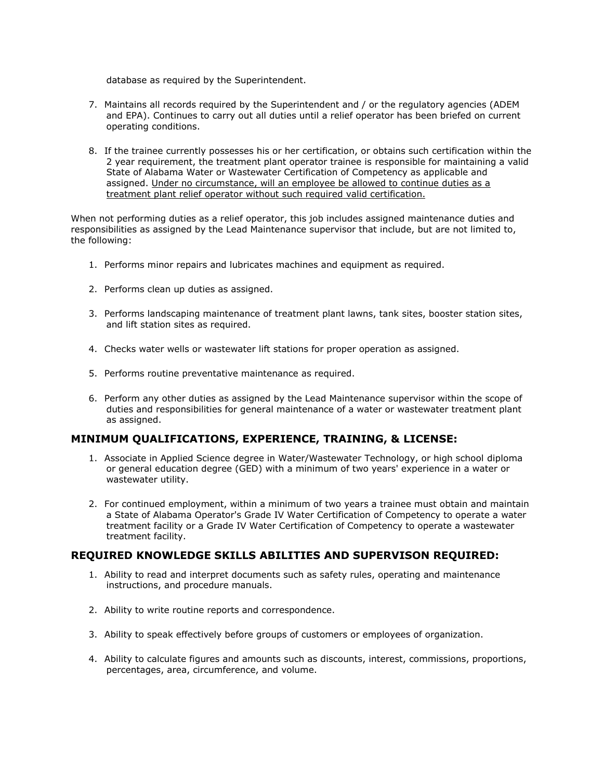database as required by the Superintendent.

- 7. Maintains all records required by the Superintendent and / or the regulatory agencies (ADEM and EPA). Continues to carry out all duties until a relief operator has been briefed on current operating conditions.
- 8. If the trainee currently possesses his or her certification, or obtains such certification within the 2 year requirement, the treatment plant operator trainee is responsible for maintaining a valid State of Alabama Water or Wastewater Certification of Competency as applicable and assigned. Under no circumstance, will an employee be allowed to continue duties as a treatment plant relief operator without such required valid certification.

When not performing duties as a relief operator, this job includes assigned maintenance duties and responsibilities as assigned by the Lead Maintenance supervisor that include, but are not limited to, the following:

- 1. Performs minor repairs and lubricates machines and equipment as required.
- 2. Performs clean up duties as assigned.
- 3. Performs landscaping maintenance of treatment plant lawns, tank sites, booster station sites, and lift station sites as required.
- 4. Checks water wells or wastewater lift stations for proper operation as assigned.
- 5. Performs routine preventative maintenance as required.
- 6. Perform any other duties as assigned by the Lead Maintenance supervisor within the scope of duties and responsibilities for general maintenance of a water or wastewater treatment plant as assigned.

## **MINIMUM QUALIFICATIONS, EXPERIENCE, TRAINING, & LICENSE:**

- 1. Associate in Applied Science degree in Water/Wastewater Technology, or high school diploma or general education degree (GED) with a minimum of two years' experience in a water or wastewater utility.
- 2. For continued employment, within a minimum of two years a trainee must obtain and maintain a State of Alabama Operator's Grade IV Water Certification of Competency to operate a water treatment facility or a Grade IV Water Certification of Competency to operate a wastewater treatment facility.

## **REQUIRED KNOWLEDGE SKILLS ABILITIES AND SUPERVISON REQUIRED:**

- 1. Ability to read and interpret documents such as safety rules, operating and maintenance instructions, and procedure manuals.
- 2. Ability to write routine reports and correspondence.
- 3. Ability to speak effectively before groups of customers or employees of organization.
- 4. Ability to calculate figures and amounts such as discounts, interest, commissions, proportions, percentages, area, circumference, and volume.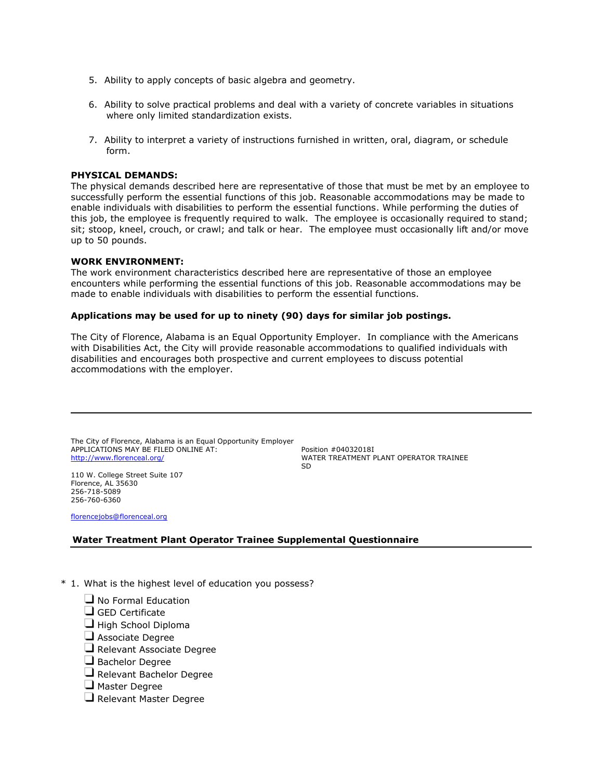- 5. Ability to apply concepts of basic algebra and geometry.
- 6. Ability to solve practical problems and deal with a variety of concrete variables in situations where only limited standardization exists.
- 7. Ability to interpret a variety of instructions furnished in written, oral, diagram, or schedule form.

#### **PHYSICAL DEMANDS:**

The physical demands described here are representative of those that must be met by an employee to successfully perform the essential functions of this job. Reasonable accommodations may be made to enable individuals with disabilities to perform the essential functions. While performing the duties of this job, the employee is frequently required to walk. The employee is occasionally required to stand; sit; stoop, kneel, crouch, or crawl; and talk or hear. The employee must occasionally lift and/or move up to 50 pounds.

#### **WORK ENVIRONMENT:**

The work environment characteristics described here are representative of those an employee encounters while performing the essential functions of this job. Reasonable accommodations may be made to enable individuals with disabilities to perform the essential functions.

#### **Applications may be used for up to ninety (90) days for similar job postings.**

The City of Florence, Alabama is an Equal Opportunity Employer. In compliance with the Americans with Disabilities Act, the City will provide reasonable accommodations to qualified individuals with disabilities and encourages both prospective and current employees to discuss potential accommodations with the employer.

The City of Florence, Alabama is an Equal Opportunity Employer APPLICATIONS MAY BE FILED ONLINE AT: <http://www.florenceal.org/>

Position #04032018I WATER TREATMENT PLANT OPERATOR TRAINEE SD

110 W. College Street Suite 107 Florence, AL 35630 256-718-5089 256-760-6360

[florencejobs@florenceal.org](mailto:florencejobs@florenceal.org)

## **Water Treatment Plant Operator Trainee Supplemental Questionnaire**

- \* 1. What is the highest level of education you possess?
	- $\Box$  No Formal Education
	- $\Box$  GED Certificate
	- $\Box$  High School Diploma
	- $\Box$  Associate Degree
	- $\Box$  Relevant Associate Degree
	- Bachelor Degree
	- $\Box$  Relevant Bachelor Degree
	- $\Box$  Master Degree
	- Relevant Master Degree